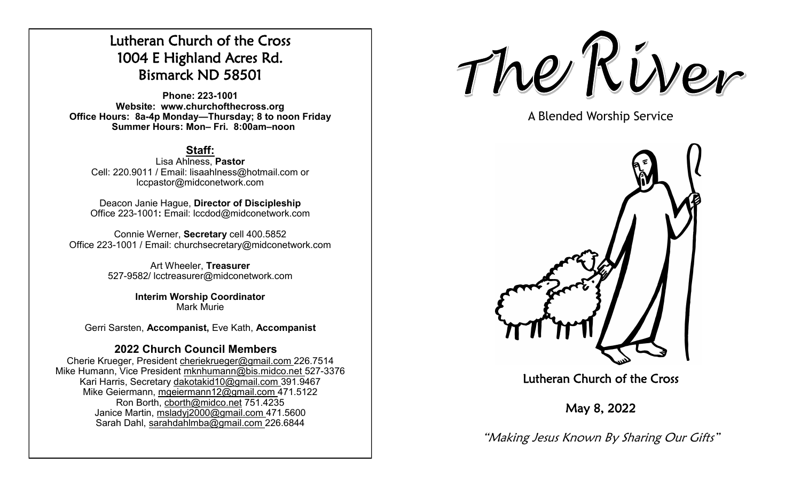# Lutheran Church of the Cross 1004 E Highland Acres Rd. Bismarck ND 58501

**Phone: 223-1001 Website: www.churchofthecross.org Office Hours: 8a-4p Monday—Thursday; 8 to noon Friday Summer Hours: Mon– Fri. 8:00am–noon**

## **Staff:**

Lisa Ahlness, **Pastor** Cell: 220.9011 / Email: lisaahlness@hotmail.com or lccpastor@midconetwork.com

Deacon Janie Hague, **Director of Discipleship** Office 223-1001**:** Email: lccdod@midconetwork.com

Connie Werner, **Secretary** cell 400.5852 Office 223-1001 / Email: churchsecretary@midconetwork.com

> Art Wheeler, **Treasurer** 527-9582/ lcctreasurer@midconetwork.com

> > **Interim Worship Coordinator**  Mark Murie

Gerri Sarsten, **Accompanist,** Eve Kath, **Accompanist**

## **2022 Church Council Members**

Cherie Krueger, President cheriekrueger@gmail.com 226.7514 Mike Humann, Vice President mknhumann@bis.midco.net 527-3376 Kari Harris, Secretary dakotakid10@gmail.com 391.9467 Mike Geiermann, mgeiermann12@gmail.com 471.5122 Ron Borth, [cborth@midco.net](mailto:cborth@midco.net) 751.4235 Janice Martin, msladyj2000@gmail.com 471.5600 Sarah Dahl, sarahdahlmba@gmail.com 226.6844

The River

A Blended Worship Service



Lutheran Church of the Cross

May 8, 2022

"Making Jesus Known By Sharing Our Gifts"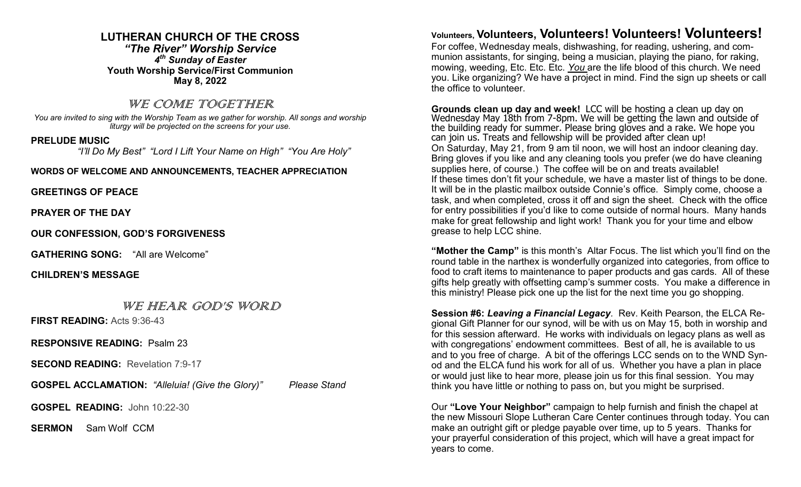#### **LUTHERAN CHURCH OF THE CROSS**

*"The River" Worship Service 4 th Sunday of Easter* **Youth Worship Service/First Communion May 8, 2022**

### WE COME TOGETHER

*You are invited to sing with the Worship Team as we gather for worship. All songs and worship liturgy will be projected on the screens for your use.* 

#### **PRELUDE MUSIC**

 *"I'll Do My Best" "Lord I Lift Your Name on High" "You Are Holy"*

**WORDS OF WELCOME AND ANNOUNCEMENTS, TEACHER APPRECIATION**

**GREETINGS OF PEACE**

**PRAYER OF THE DAY**

**OUR CONFESSION, GOD'S FORGIVENESS**

**GATHERING SONG:** "All are Welcome"

**CHILDREN'S MESSAGE**

#### WE HEAR GOD'S WORD

**FIRST READING:** Acts 9:36-43

**RESPONSIVE READING:** Psalm 23

**SECOND READING: Revelation 7:9-17** 

**GOSPEL ACCLAMATION:** *"Alleluia! (Give the Glory)" Please Stand*

**GOSPEL READING:** John 10:22-30

**SERMON** Sam WolfCCM

## **Volunteers, Volunteers, Volunteers! Volunteers! Volunteers!**

For coffee, Wednesday meals, dishwashing, for reading, ushering, and communion assistants, for singing, being a musician, playing the piano, for raking, mowing, weeding, Etc. Etc. Etc. *You* are the life blood of this church. We need you. Like organizing? We have a project in mind. Find the sign up sheets or call the office to volunteer.

**Grounds clean up day and week!** LCC will be hosting a clean up day on Wednesday May 18th from 7-8pm. We will be getting the lawn and outside of the building ready for summer. Please bring gloves and a rake. We hope you can join us. Treats and fellowship will be provided after clean up! On Saturday, May 21, from 9 am til noon, we will host an indoor cleaning day. Bring gloves if you like and any cleaning tools you prefer (we do have cleaning supplies here, of course.) The coffee will be on and treats available! If these times don't fit your schedule, we have a master list of things to be done. It will be in the plastic mailbox outside Connie's office. Simply come, choose a task, and when completed, cross it off and sign the sheet. Check with the office for entry possibilities if you'd like to come outside of normal hours. Many hands make for great fellowship and light work! Thank you for your time and elbow grease to help LCC shine.

**"Mother the Camp"** is this month's Altar Focus. The list which you'll find on the round table in the narthex is wonderfully organized into categories, from office to food to craft items to maintenance to paper products and gas cards. All of these gifts help greatly with offsetting camp's summer costs. You make a difference in this ministry! Please pick one up the list for the next time you go shopping.

**Session #6:** *Leaving a Financial Legacy.* Rev. Keith Pearson, the ELCA Regional Gift Planner for our synod, will be with us on May 15, both in worship and for this session afterward. He works with individuals on legacy plans as well as with congregations' endowment committees. Best of all, he is available to us and to you free of charge. A bit of the offerings LCC sends on to the WND Synod and the ELCA fund his work for all of us. Whether you have a plan in place or would just like to hear more, please join us for this final session. You may think you have little or nothing to pass on, but you might be surprised.

Our **"Love Your Neighbor"** campaign to help furnish and finish the chapel at the new Missouri Slope Lutheran Care Center continues through today. You can make an outright gift or pledge payable over time, up to 5 years. Thanks for your prayerful consideration of this project, which will have a great impact for years to come.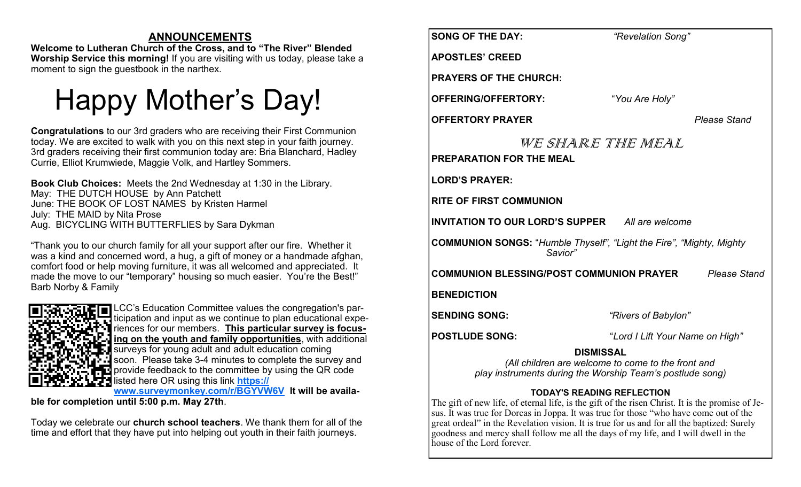## **ANNOUNCEMENTS**

**Welcome to Lutheran Church of the Cross, and to "The River" Blended Worship Service this morning!** If you are visiting with us today, please take a moment to sign the guestbook in the narthex.

# Happy Mother's Day!

**Congratulations** to our 3rd graders who are receiving their First Communion today. We are excited to walk with you on this next step in your faith journey. 3rd graders receiving their first communion today are: Bria Blanchard, Hadley Currie, Elliot Krumwiede, Maggie Volk, and Hartley Sommers.

**Book Club Choices:** Meets the 2nd Wednesday at 1:30 in the Library. May: THE DUTCH HOUSE by Ann Patchett June: THE BOOK OF LOST NAMES by Kristen Harmel July: THE MAID by Nita Prose Aug. BICYCLING WITH BUTTERFLIES by Sara Dykman

"Thank you to our church family for all your support after our fire. Whether it was a kind and concerned word, a hug, a gift of money or a handmade afghan, comfort food or help moving furniture, it was all welcomed and appreciated. It made the move to our "temporary" housing so much easier. You're the Best!" Barb Norby & Family



LCC's Education Committee values the congregation's participation and input as we continue to plan educational experiences for our members. **This particular survey is focusing on the youth and family opportunities**, with additional surveys for young adult and adult education coming soon. Please take 3-4 minutes to complete the survey and provide feedback to the committee by using the QR code listed here OR using this link **[https://](https://www.surveymonkey.com/r/BGYVW6V)**

**[www.surveymonkey.com/r/BGYVW6V](https://www.surveymonkey.com/r/BGYVW6V) It will be available for completion until 5:00 p.m. May 27th**.

Today we celebrate our **church school teachers**. We thank them for all of the time and effort that they have put into helping out youth in their faith journeys.

| <b>SONG OF THE DAY:</b>                                | "Revelation Song"                                                                                                                                                                                                                                                                                                                                                                                                   |  |  |  |
|--------------------------------------------------------|---------------------------------------------------------------------------------------------------------------------------------------------------------------------------------------------------------------------------------------------------------------------------------------------------------------------------------------------------------------------------------------------------------------------|--|--|--|
| <b>APOSTLES' CREED</b>                                 |                                                                                                                                                                                                                                                                                                                                                                                                                     |  |  |  |
| <b>PRAYERS OF THE CHURCH:</b>                          |                                                                                                                                                                                                                                                                                                                                                                                                                     |  |  |  |
| <b>OFFERING/OFFERTORY:</b>                             | "You Are Holy"                                                                                                                                                                                                                                                                                                                                                                                                      |  |  |  |
| <b>OFFERTORY PRAYER</b>                                | <b>Please Stand</b>                                                                                                                                                                                                                                                                                                                                                                                                 |  |  |  |
| <b>PREPARATION FOR THE MEAL</b>                        | WE SHARE THE MEAL                                                                                                                                                                                                                                                                                                                                                                                                   |  |  |  |
| <b>LORD'S PRAYER:</b>                                  |                                                                                                                                                                                                                                                                                                                                                                                                                     |  |  |  |
| <b>RITE OF FIRST COMMUNION</b>                         |                                                                                                                                                                                                                                                                                                                                                                                                                     |  |  |  |
| <b>INVITATION TO OUR LORD'S SUPPER</b> All are welcome |                                                                                                                                                                                                                                                                                                                                                                                                                     |  |  |  |
| Savior"                                                | <b>COMMUNION SONGS: "Humble Thyself", "Light the Fire", "Mighty, Mighty</b>                                                                                                                                                                                                                                                                                                                                         |  |  |  |
|                                                        | <b>COMMUNION BLESSING/POST COMMUNION PRAYER</b> Please Stand                                                                                                                                                                                                                                                                                                                                                        |  |  |  |
| <b>BENEDICTION</b>                                     |                                                                                                                                                                                                                                                                                                                                                                                                                     |  |  |  |
| <b>SENDING SONG:</b>                                   | "Rivers of Babylon"                                                                                                                                                                                                                                                                                                                                                                                                 |  |  |  |
| <b>POSTLUDE SONG:</b>                                  | "Lord I Lift Your Name on High"                                                                                                                                                                                                                                                                                                                                                                                     |  |  |  |
|                                                        | <b>DISMISSAL</b><br>(All children are welcome to come to the front and<br>play instruments during the Worship Team's postlude song)                                                                                                                                                                                                                                                                                 |  |  |  |
| house of the Lord forever.                             | <b>TODAY'S READING REFLECTION</b><br>The gift of new life, of eternal life, is the gift of the risen Christ. It is the promise of Je-<br>sus. It was true for Dorcas in Joppa. It was true for those "who have come out of the<br>great ordeal" in the Revelation vision. It is true for us and for all the baptized: Surely<br>goodness and mercy shall follow me all the days of my life, and I will dwell in the |  |  |  |